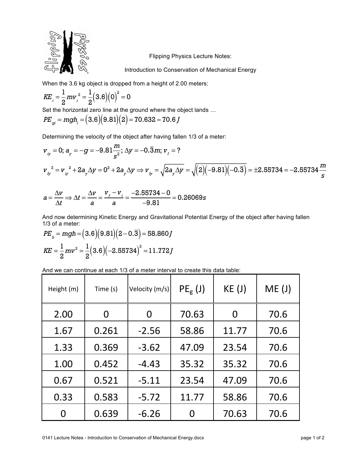

Flipping Physics Lecture Notes:

Introduction to Conservation of Mechanical Energy

When the 3.6 kg object is dropped from a height of 2.00 meters:

$$
KE_{i} = \frac{1}{2}mv_{i}^{2} = \frac{1}{2}(3.6)(0)^{2} = 0
$$

Set the horizontal zero line at the ground where the object lands …

$$
PE_{gi} = mgh_i = (3.6)(9.81)(2) = 70.632 \approx 70.6
$$

Determining the velocity of the object after having fallen 1/3 of a meter:

$$
v_{ij} = 0; a_{ij} = -g = -9.81 \frac{m}{s^2}; \Delta y = -0.\overline{3}m; v_i = ?
$$
  

$$
v_{ij}^2 = v_{ij}^2 + 2a_{ij} \Delta y = 0^2 + 2a_{ij} \Delta y \Rightarrow v_{ij} = \sqrt{2a_{ij} \Delta y} = \sqrt{(2)(-9.81)(-0.3)} = \pm 2.55734 = -2.55734 \frac{m}{s}
$$

$$
a = \frac{\Delta v}{\Delta t} \Rightarrow \Delta t = \frac{\Delta v}{a} = \frac{v_f - v_i}{a} = \frac{-2.55734 - 0}{-9.81} = 0.26069s
$$

And now determining Kinetic Energy and Gravitational Potential Energy of the object after having fallen 1/3 of a meter:

$$
PE_{h} = mgh = (3.6)(9.81)(2 - 0.3) = 58.860 J
$$

$$
KE = \frac{1}{2}mv^{2} = \frac{1}{2}(3.6)(-2.55734)^{2} = 11.772 J
$$

And we can continue at each 1/3 of a meter interval to create this data table:

| Height (m) | Time (s) | Velocity (m/s) | $PEg$ (J) | KE(J) | ME(J) |
|------------|----------|----------------|-----------|-------|-------|
| 2.00       | 0        | 0              | 70.63     | O     | 70.6  |
| 1.67       | 0.261    | $-2.56$        | 58.86     | 11.77 | 70.6  |
| 1.33       | 0.369    | $-3.62$        | 47.09     | 23.54 | 70.6  |
| 1.00       | 0.452    | $-4.43$        | 35.32     | 35.32 | 70.6  |
| 0.67       | 0.521    | $-5.11$        | 23.54     | 47.09 | 70.6  |
| 0.33       | 0.583    | $-5.72$        | 11.77     | 58.86 | 70.6  |
| 0          | 0.639    | $-6.26$        |           | 70.63 | 70.6  |